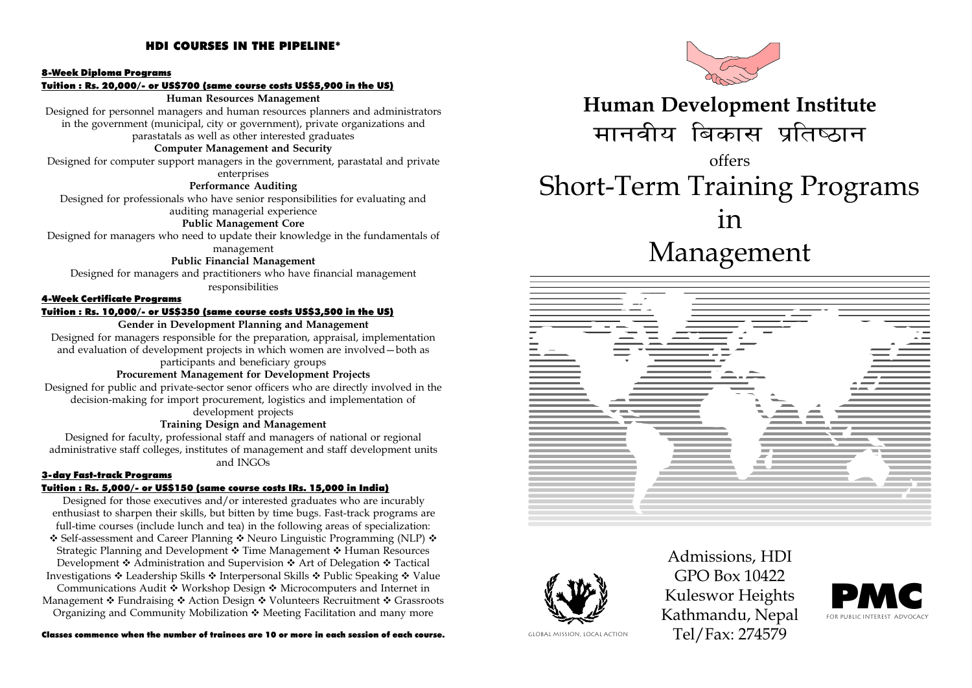#### HDI COURSES IN THE PIPELINE\*

#### 8-Week Diploma Programs

Tuition : Rs. 20,000/- or US\$700 (same course costs US\$5,900 in the US)

#### Human Resources Management

Designed for personnel managers and human resources planners and administrators in the government (municipal, city or government), private organizations and parastatals as well as other interested graduates

#### Computer Management and Security

Designed for computer support managers in the government, parastatal and private enterprises

#### Performance Auditing

Designed for professionals who have senior responsibilities for evaluating and

#### auditing managerial experience

#### Public Management Core

Designed for managers who need to update their knowledge in the fundamentals of management

#### Public Financial Management

Designed for managers and practitioners who have financial management responsibilities

#### 4-Week Certificate Programs

#### Tuition : Rs. 10,000/- or US\$350 (same course costs US\$3,500 in the US)

#### Gender in Development Planning and Management

Designed for managers responsible for the preparation, appraisal, implementation and evaluation of development projects in which women are involved  $-$  both as participants and beneficiary groups

#### Procurement Management for Development Projects

Designed for public and private-sector senor officers who are directly involved in the decision-making for import procurement, logistics and implementation of development projects

#### Training Design and Management

Designed for faculty, professional staff and managers of national or regional administrative staff colleges, institutes of management and staff development units and INGOs

#### 3-day Fast-track Programs

#### Tuition : Rs. 5,000/- or US\$150 (same course costs IRs. 15,000 in India)

Designed for those executives and/or interested graduates who are incurably enthusiast to sharpen their skills, but bitten by time bugs. Fast-track programs are full-time courses (include lunch and tea) in the following areas of specialization: ❖ Self-assessment and Career Planning ❖ Neuro Linguistic Programming (NLP) ❖ Strategic Planning and Development ❖ Time Management ❖ Human Resources Development  $\div$  Administration and Supervision  $\div$  Art of Delegation  $\div$  Tactical Investigations ❖ Leadership Skills ❖ Interpersonal Skills ❖ Public Speaking ❖ Value Communications Audit  $\cdot \cdot$  Workshop Design  $\cdot \cdot$  Microcomputers and Internet in

Management  $\cdot$  Fundraising  $\cdot$  Action Design  $\cdot$  Volunteers Recruitment  $\cdot$  Grassroots Organizing and Community Mobilization  $\cdot \cdot$  Meeting Facilitation and many more

Classes commence when the number of trainees are 10 or more in each session of each course.



### Human Development Institute मानवीय बिकास प्रतिष्ठान offers

## Short-Term Training Programs

in

## Management





Admissions, HDI GPO Box 10422 Kuleswor Heights Kathmandu, Nepal GLOBAL MISSION, LOCAL ACTION Tel/Fax: 274579

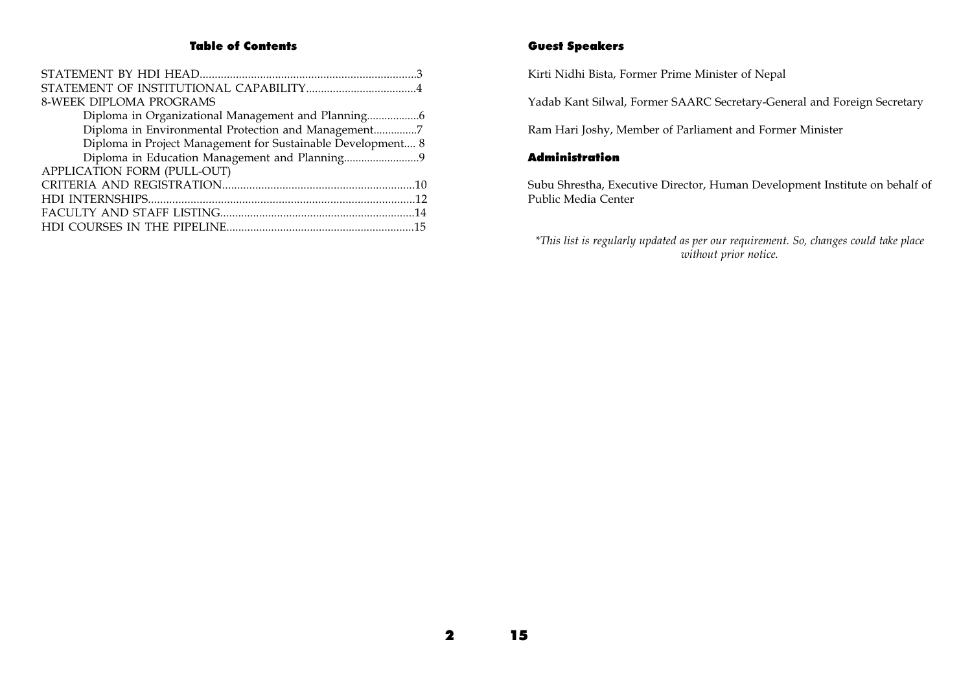#### Table of Contents

| <b>8-WEEK DIPLOMA PROGRAMS</b>                              |  |
|-------------------------------------------------------------|--|
|                                                             |  |
| Diploma in Environmental Protection and Management7         |  |
| Diploma in Project Management for Sustainable Development 8 |  |
|                                                             |  |
| APPLICATION FORM (PULL-OUT)                                 |  |
|                                                             |  |
|                                                             |  |
|                                                             |  |
|                                                             |  |

#### Guest Speakers

Kirti Nidhi Bista, Former Prime Minister of Nepal

Yadab Kant Silwal, Former SAARC Secretary-General and Foreign Secretary

Ram Hari Joshy, Member of Parliament and Former Minister

#### Administration

Subu Shrestha, Executive Director, Human Development Institute on behalf of Public Media Center

\*This list is regularly updated as per our requirement. So, changes could take place without prior notice.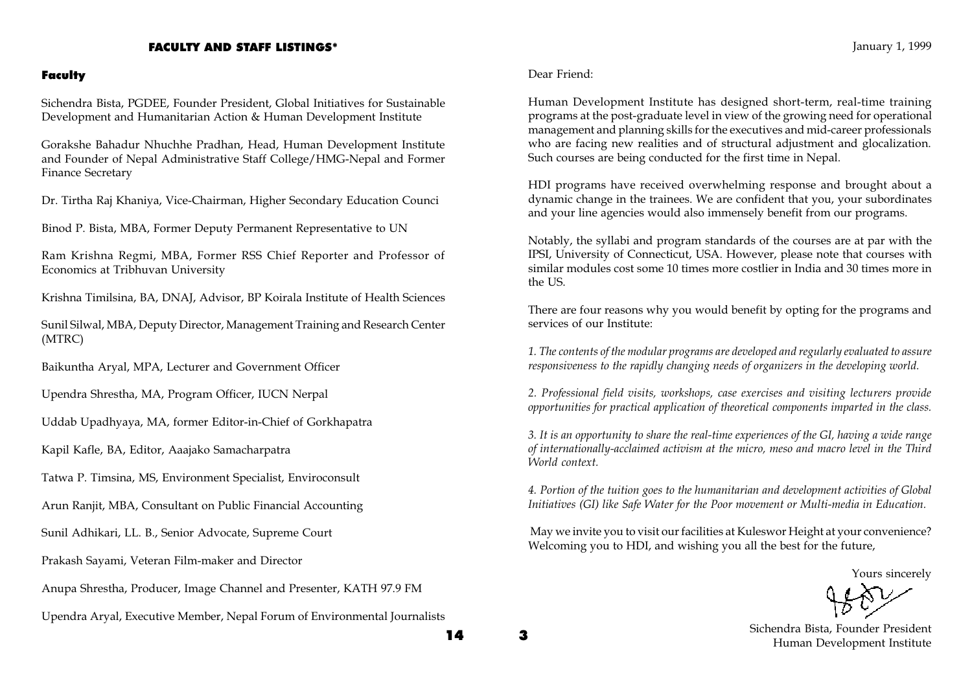#### FACULTY AND STAFF LISTINGS\*

#### Faculty

Sichendra Bista, PGDEE, Founder President, Global Initiatives for Sustainable Development and Humanitarian Action & Human Development Institute

Gorakshe Bahadur Nhuchhe Pradhan, Head, Human Development Institute and Founder of Nepal Administrative Staff College/HMG-Nepal and Former Finance Secretary

Dr. Tirtha Raj Khaniya, Vice-Chairman, Higher Secondary Education Counci

Binod P. Bista, MBA, Former Deputy Permanent Representative to UN

Ram Krishna Regmi, MBA, Former RSS Chief Reporter and Professor of Economics at Tribhuvan University

Krishna Timilsina, BA, DNAJ, Advisor, BP Koirala Institute of Health Sciences

Sunil Silwal, MBA, Deputy Director, Management Training and Research Center (MTRC)

Baikuntha Aryal, MPA, Lecturer and Government Officer

Upendra Shrestha, MA, Program Officer, IUCN Nerpal

Uddab Upadhyaya, MA, former Editor-in-Chief of Gorkhapatra

Kapil Kafle, BA, Editor, Aaajako Samacharpatra

Tatwa P. Timsina, MS, Environment Specialist, Enviroconsult

Arun Ranjit, MBA, Consultant on Public Financial Accounting

Sunil Adhikari, LL. B., Senior Advocate, Supreme Court

Prakash Sayami, Veteran Film-maker and Director

Anupa Shrestha, Producer, Image Channel and Presenter, KATH 97.9 FM

Upendra Aryal, Executive Member, Nepal Forum of Environmental Journalists

Dear Friend:

Human Development Institute has designed short-term, real-time training programs at the post-graduate level in view of the growing need for operational management and planning skills for the executives and mid-career professionals who are facing new realities and of structural adjustment and glocalization. Such courses are being conducted for the first time in Nepal.

HDI programs have received overwhelming response and brought about a dynamic change in the trainees. We are confident that you, your subordinates and your line agencies would also immensely benefit from our programs.

Notably, the syllabi and program standards of the courses are at par with the IPSI, University of Connecticut, USA. However, please note that courses with similar modules cost some 10 times more costlier in India and 30 times more in the US.

There are four reasons why you would benefit by opting for the programs and services of our Institute:

1. The contents of the modular programs are developed and regularly evaluated to assure responsiveness to the rapidly changing needs of organizers in the developing world.

2. Professional field visits, workshops, case exercises and visiting lecturers provide opportunities for practical application of theoretical components imparted in the class.

3. It is an opportunity to share the real-time experiences of the GI, having a wide range of internationally-acclaimed activism at the micro, meso and macro level in the Third World context.

4. Portion of the tuition goes to the humanitarian and development activities of Global Initiatives (GI) like Safe Water for the Poor movement or Multi-media in Education.

 May we invite you to visit our facilities at Kuleswor Height at your convenience? Welcoming you to HDI, and wishing you all the best for the future,

Yours sincerely

Sichendra Bista, Founder President Human Development Institute

14 3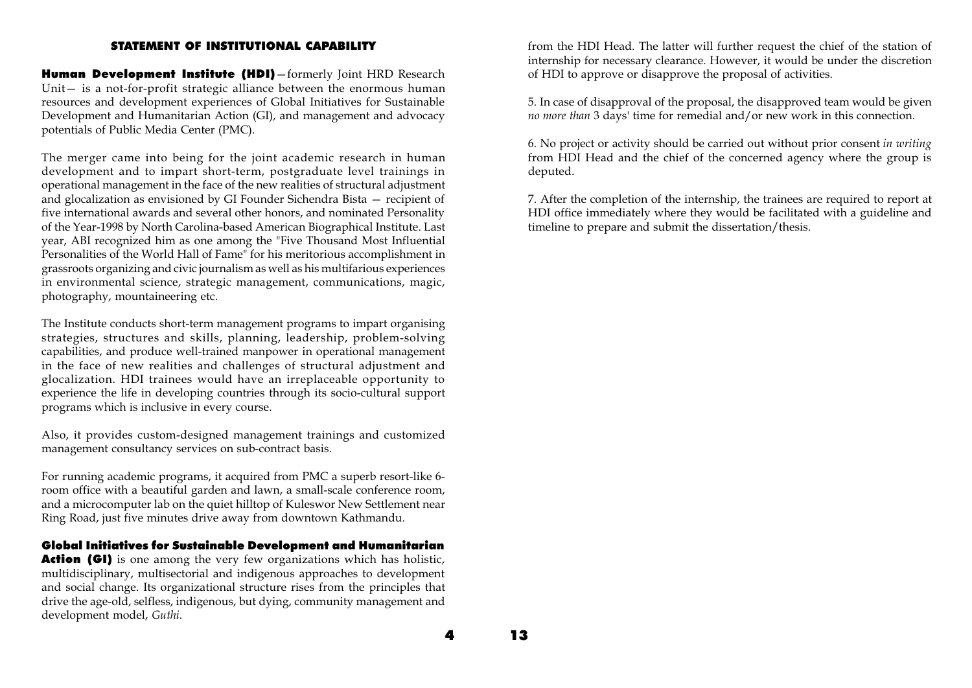#### STATEMENT OF INSTITUTIONAL CAPABILITY

Human Development Institute (HDI) - formerly Joint HRD Research Unit $-$  is a not-for-profit strategic alliance between the enormous human resources and development experiences of Global Initiatives for Sustainable Development and Humanitarian Action (GI), and management and advocacy potentials of Public Media Center (PMC).

The merger came into being for the joint academic research in human development and to impart short-term, postgraduate level trainings in operational management in the face of the new realities of structural adjustment and glocalization as envisioned by GI Founder Sichendra Bista – recipient of five international awards and several other honors, and nominated Personality of the Year-1998 by North Carolina-based American Biographical Institute. Last year, ABI recognized him as one among the "Five Thousand Most Influential Personalities of the World Hall of Fame" for his meritorious accomplishment in grassroots organizing and civic journalism as well as his multifarious experiences in environmental science, strategic management, communications, magic, photography, mountaineering etc.

The Institute conducts short-term management programs to impart organising strategies, structures and skills, planning, leadership, problem-solving capabilities, and produce well-trained manpower in operational management in the face of new realities and challenges of structural adjustment and glocalization. HDI trainees would have an irreplaceable opportunity to experience the life in developing countries through its socio-cultural support programs which is inclusive in every course.

Also, it provides custom-designed management trainings and customized management consultancy services on sub-contract basis.

For running academic programs, it acquired from PMC a superb resort-like 6 room office with a beautiful garden and lawn, a small-scale conference room, and a microcomputer lab on the quiet hilltop of Kuleswor New Settlement near Ring Road, just five minutes drive away from downtown Kathmandu.

#### Global Initiatives for Sustainable Development and Humanitarian

Action (GI) is one among the very few organizations which has holistic, multidisciplinary, multisectorial and indigenous approaches to development and social change. Its organizational structure rises from the principles that drive the age-old, selfless, indigenous, but dying, community management and development model, Guthi.

from the HDI Head. The latter will further request the chief of the station of internship for necessary clearance. However, it would be under the discretion of HDI to approve or disapprove the proposal of activities.

5. In case of disapproval of the proposal, the disapproved team would be given no more than 3 days' time for remedial and/or new work in this connection.

6. No project or activity should be carried out without prior consent in writing from HDI Head and the chief of the concerned agency where the group is deputed.

7. After the completion of the internship, the trainees are required to report at HDI office immediately where they would be facilitated with a guideline and timeline to prepare and submit the dissertation/thesis.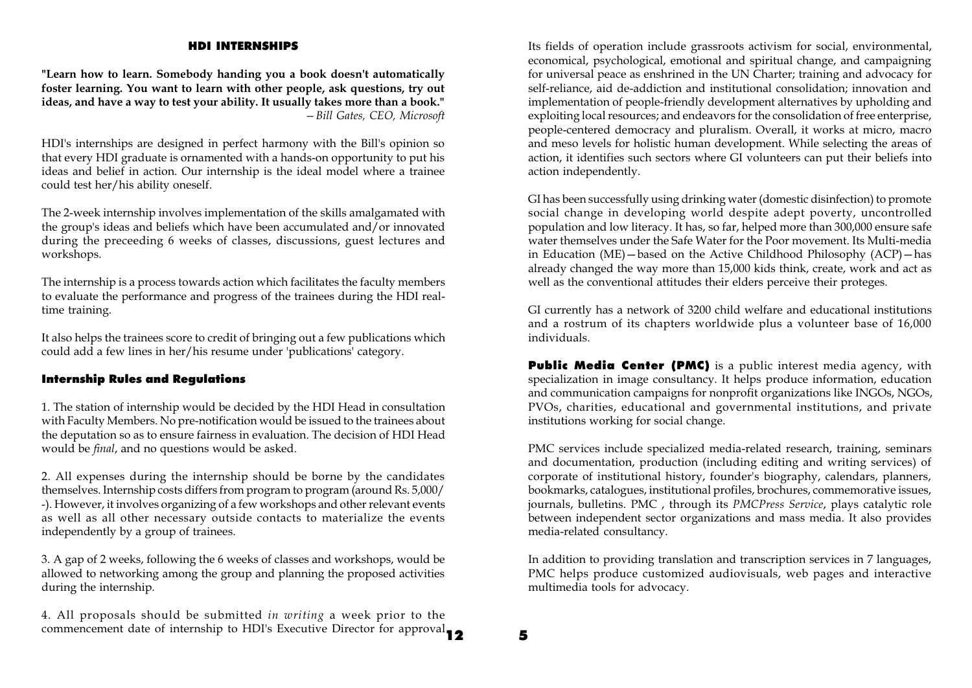#### HDI INTERNSHIPS

"Learn how to learn. Somebody handing you a book doesn't automatically foster learning. You want to learn with other people, ask questions, try out ideas, and have a way to test your ability. It usually takes more than a book." Bill Gates, CEO, Microsoft

HDI's internships are designed in perfect harmony with the Bill's opinion so that every HDI graduate is ornamented with a hands-on opportunity to put his ideas and belief in action. Our internship is the ideal model where a trainee could test her/his ability oneself.

The 2-week internship involves implementation of the skills amalgamated with the group's ideas and beliefs which have been accumulated and  $\delta$  or innovated during the preceeding 6 weeks of classes, discussions, guest lectures and workshops.

The internship is a process towards action which facilitates the faculty members to evaluate the performance and progress of the trainees during the HDI realtime training.

It also helps the trainees score to credit of bringing out a few publications which could add a few lines in her/his resume under 'publications' category.

#### Internship Rules and Regulations

1. The station of internship would be decided by the HDI Head in consultation with Faculty Members. No pre-notification would be issued to the trainees about the deputation so as to ensure fairness in evaluation. The decision of HDI Head would be final, and no questions would be asked.

2. All expenses during the internship should be borne by the candidates themselves. Internship costs differs from program to program (around Rs. 5,000/ -). However, it involves organizing of a few workshops and other relevant events as well as all other necessary outside contacts to materialize the events independently by a group of trainees.

3. A gap of 2 weeks, following the 6 weeks of classes and workshops, would be allowed to networking among the group and planning the proposed activities during the internship.

commencement date of internship to HDI's Executive Director for approval **12** 5 4. All proposals should be submitted in writing a week prior to the

Its fields of operation include grassroots activism for social, environmental, economical, psychological, emotional and spiritual change, and campaigning for universal peace as enshrined in the UN Charter; training and advocacy for self-reliance, aid de-addiction and institutional consolidation; innovation and implementation of people-friendly development alternatives by upholding and exploiting local resources; and endeavors for the consolidation of free enterprise, people-centered democracy and pluralism. Overall, it works at micro, macro and meso levels for holistic human development. While selecting the areas of action, it identifies such sectors where GI volunteers can put their beliefs into action independently.

GI has been successfully using drinking water (domestic disinfection) to promote social change in developing world despite adept poverty, uncontrolled population and low literacy. It has, so far, helped more than 300,000 ensure safe water themselves under the Safe Water for the Poor movement. Its Multi-media in Education (ME) - based on the Active Childhood Philosophy (ACP) - has already changed the way more than 15,000 kids think, create, work and act as well as the conventional attitudes their elders perceive their proteges.

GI currently has a network of 3200 child welfare and educational institutions and a rostrum of its chapters worldwide plus a volunteer base of 16,000 individuals.

Public Media Center (PMC) is a public interest media agency, with specialization in image consultancy. It helps produce information, education and communication campaigns for nonprofit organizations like INGOs, NGOs, PVOs, charities, educational and governmental institutions, and private institutions working for social change.

PMC services include specialized media-related research, training, seminars and documentation, production (including editing and writing services) of corporate of institutional history, founder's biography, calendars, planners, bookmarks, catalogues, institutional profiles, brochures, commemorative issues, journals, bulletins. PMC , through its PMCPress Service, plays catalytic role between independent sector organizations and mass media. It also provides media-related consultancy.

In addition to providing translation and transcription services in 7 languages, PMC helps produce customized audiovisuals, web pages and interactive multimedia tools for advocacy.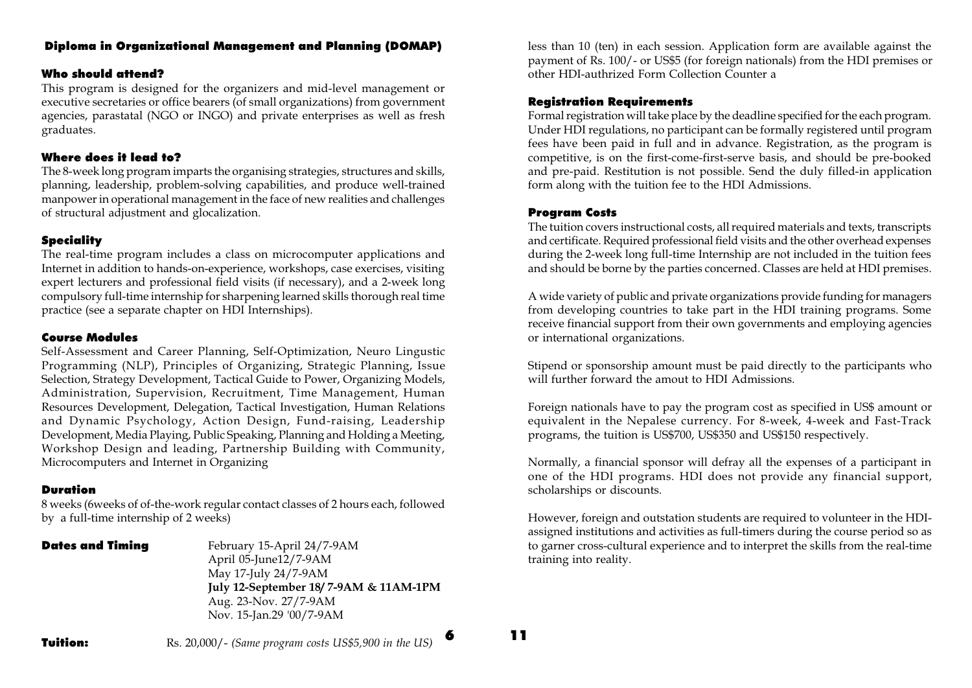#### Diploma in Organizational Management and Planning (DOMAP)

#### Who should attend?

This program is designed for the organizers and mid-level management or executive secretaries or office bearers (of small organizations) from government agencies, parastatal (NGO or INGO) and private enterprises as well as fresh graduates.

#### Where does it lead to?

The 8-week long program imparts the organising strategies, structures and skills, planning, leadership, problem-solving capabilities, and produce well-trained manpower in operational management in the face of new realities and challenges of structural adjustment and glocalization.

#### **Speciality**

The real-time program includes a class on microcomputer applications and Internet in addition to hands-on-experience, workshops, case exercises, visiting expert lecturers and professional field visits (if necessary), and a 2-week long compulsory full-time internship for sharpening learned skills thorough real time practice (see a separate chapter on HDI Internships).

#### Course Modules

Self-Assessment and Career Planning, Self-Optimization, Neuro Lingustic Programming (NLP), Principles of Organizing, Strategic Planning, Issue Selection, Strategy Development, Tactical Guide to Power, Organizing Models, Administration, Supervision, Recruitment, Time Management, Human Resources Development, Delegation, Tactical Investigation, Human Relations and Dynamic Psychology, Action Design, Fund-raising, Leadership Development, Media Playing, Public Speaking, Planning and Holding a Meeting, Workshop Design and leading, Partnership Building with Community, Microcomputers and Internet in Organizing

#### Duration

8 weeks (6weeks of of-the-work regular contact classes of 2 hours each, followed by a full-time internship of 2 weeks)

**Dates and Timing** February 15-April 24/7-9AM April 05-June12/7-9AM May 17-July 24/7-9AM July 12-September 18/ 7-9AM & 11AM-1PM Aug. 23-Nov. 27/7-9AM Nov. 15-Jan.29 '00/7-9AM

less than 10 (ten) in each session. Application form are available against the payment of Rs. 100/- or US\$5 (for foreign nationals) from the HDI premises or other HDI-authrized Form Collection Counter a

#### Registration Requirements

Formal registration will take place by the deadline specified for the each program. Under HDI regulations, no participant can be formally registered until program fees have been paid in full and in advance. Registration, as the program is competitive, is on the first-come-first-serve basis, and should be pre-booked and pre-paid. Restitution is not possible. Send the duly filled-in application form along with the tuition fee to the HDI Admissions.

#### Program Costs

The tuition covers instructional costs, all required materials and texts, transcripts and certificate. Required professional field visits and the other overhead expenses during the 2-week long full-time Internship are not included in the tuition fees and should be borne by the parties concerned. Classes are held at HDI premises.

A wide variety of public and private organizations provide funding for managers from developing countries to take part in the HDI training programs. Some receive financial support from their own governments and employing agencies or international organizations.

Stipend or sponsorship amount must be paid directly to the participants who will further forward the amout to HDI Admissions.

Foreign nationals have to pay the program cost as specified in US\$ amount or equivalent in the Nepalese currency. For 8-week, 4-week and Fast-Track programs, the tuition is US\$700, US\$350 and US\$150 respectively.

Normally, a financial sponsor will defray all the expenses of a participant in one of the HDI programs. HDI does not provide any financial support, scholarships or discounts.

However, foreign and outstation students are required to volunteer in the HDIassigned institutions and activities as full-timers during the course period so as to garner cross-cultural experience and to interpret the skills from the real-time training into reality.

**Tuition:** Rs. 20,000/- (Same program costs US\$5,900 in the US)

6 11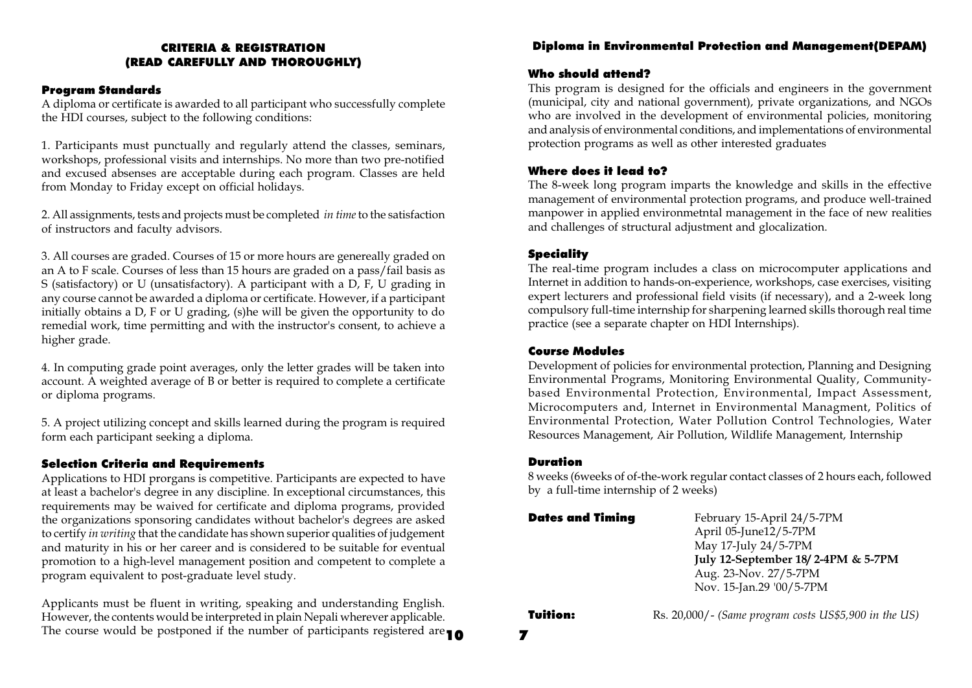#### CRITERIA & REGISTRATION (READ CAREFULLY AND THOROUGHLY)

#### Program Standards

A diploma or certificate is awarded to all participant who successfully complete the HDI courses, subject to the following conditions:

1. Participants must punctually and regularly attend the classes, seminars, workshops, professional visits and internships. No more than two pre-notified and excused absenses are acceptable during each program. Classes are held from Monday to Friday except on official holidays.

2. All assignments, tests and projects must be completed in time to the satisfaction of instructors and faculty advisors.

3. All courses are graded. Courses of 15 or more hours are genereally graded on an A to F scale. Courses of less than 15 hours are graded on a pass/fail basis as S (satisfactory) or U (unsatisfactory). A participant with a D, F, U grading in any course cannot be awarded a diploma or certificate. However, if a participant initially obtains a D, F or U grading, (s)he will be given the opportunity to do remedial work, time permitting and with the instructor's consent, to achieve a higher grade.

4. In computing grade point averages, only the letter grades will be taken into account. A weighted average of B or better is required to complete a certificate or diploma programs.

5. A project utilizing concept and skills learned during the program is required form each participant seeking a diploma.

#### Selection Criteria and Requirements

Applications to HDI prorgans is competitive. Participants are expected to have at least a bachelor's degree in any discipline. In exceptional circumstances, this requirements may be waived for certificate and diploma programs, provided the organizations sponsoring candidates without bachelor's degrees are asked to certify in writing that the candidate has shown superior qualities of judgement and maturity in his or her career and is considered to be suitable for eventual promotion to a high-level management position and competent to complete a program equivalent to post-graduate level study.

The course would be postponed if the number of participants registered are  $\textbf{10}$ Applicants must be fluent in writing, speaking and understanding English. However, the contents would be interpreted in plain Nepali wherever applicable.

#### Diploma in Environmental Protection and Management(DEPAM)

#### Who should attend?

This program is designed for the officials and engineers in the government (municipal, city and national government), private organizations, and NGOs who are involved in the development of environmental policies, monitoring and analysis of environmental conditions, and implementations of environmental protection programs as well as other interested graduates

#### Where does it lead to?

The 8-week long program imparts the knowledge and skills in the effective management of environmental protection programs, and produce well-trained manpower in applied environmetntal management in the face of new realities and challenges of structural adjustment and glocalization.

#### **Speciality**

The real-time program includes a class on microcomputer applications and Internet in addition to hands-on-experience, workshops, case exercises, visiting expert lecturers and professional field visits (if necessary), and a 2-week long compulsory full-time internship for sharpening learned skills thorough real time practice (see a separate chapter on HDI Internships).

#### Course Modules

Development of policies for environmental protection, Planning and Designing Environmental Programs, Monitoring Environmental Quality, Communitybased Environmental Protection, Environmental, Impact Assessment, Microcomputers and, Internet in Environmental Managment, Politics of Environmental Protection, Water Pollution Control Technologies, Water Resources Management, Air Pollution, Wildlife Management, Internship

#### Duration

8 weeks (6weeks of of-the-work regular contact classes of 2 hours each, followed by a full-time internship of 2 weeks)

| <b>Dates and Timing</b> | February 15-April 24/5-7PM<br>April 05-June12/5-7PM<br>May 17-July 24/5-7PM<br>July 12-September 18/2-4PM & 5-7PM<br>Aug. 23-Nov. 27/5-7PM<br>Nov. 15-Jan.29 '00/5-7PM |
|-------------------------|------------------------------------------------------------------------------------------------------------------------------------------------------------------------|
| Tuition:                | Rs. 20,000/- (Same program costs US\$5,900 in the US)                                                                                                                  |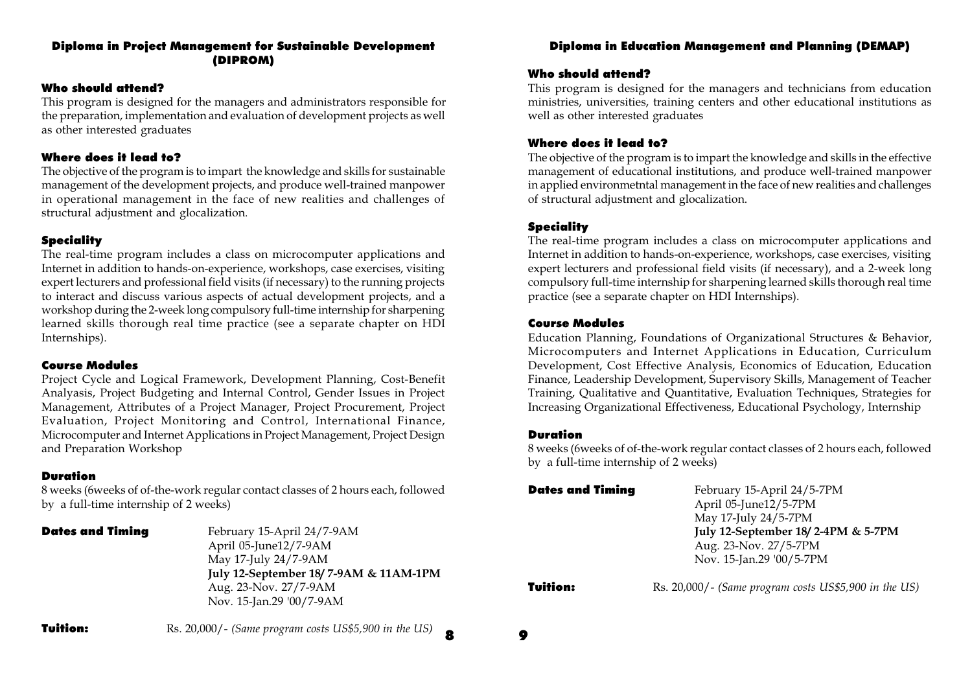#### Diploma in Project Management for Sustainable Development (DIPROM)

#### Who should attend?

This program is designed for the managers and administrators responsible for the preparation, implementation and evaluation of development projects as well as other interested graduates

#### Where does it lead to?

The objective of the program is to impart the knowledge and skills for sustainable management of the development projects, and produce well-trained manpower in operational management in the face of new realities and challenges of structural adjustment and glocalization.

#### **Speciality**

The real-time program includes a class on microcomputer applications and Internet in addition to hands-on-experience, workshops, case exercises, visiting expert lecturers and professional field visits (if necessary) to the running projects to interact and discuss various aspects of actual development projects, and a workshop during the 2-week long compulsory full-time internship for sharpening learned skills thorough real time practice (see a separate chapter on HDI Internships).

#### Course Modules

Project Cycle and Logical Framework, Development Planning, Cost-Benefit Analyasis, Project Budgeting and Internal Control, Gender Issues in Project Management, Attributes of a Project Manager, Project Procurement, Project Evaluation, Project Monitoring and Control, International Finance, Microcomputer and Internet Applications in Project Management, Project Design and Preparation Workshop

#### Duration

8 weeks (6weeks of of-the-work regular contact classes of 2 hours each, followed by a full-time internship of 2 weeks)

| Dates and Timing | February 15-April 24/7-9AM<br>April 05-June12/7-9AM |
|------------------|-----------------------------------------------------|
|                  | May 17-July 24/7-9AM                                |
|                  | July 12-September 18/7-9AM & 11AM-1PM               |
|                  | Aug. 23-Nov. 27/7-9AM                               |
|                  | Nov. 15-Jan.29 '00/7-9AM                            |

#### Diploma in Education Management and Planning (DEMAP)

#### Who should attend?

This program is designed for the managers and technicians from education ministries, universities, training centers and other educational institutions as well as other interested graduates

#### Where does it lead to?

The objective of the program is to impart the knowledge and skills in the effective management of educational institutions, and produce well-trained manpower in applied environmetntal management in the face of new realities and challenges of structural adjustment and glocalization.

#### **Speciality**

The real-time program includes a class on microcomputer applications and Internet in addition to hands-on-experience, workshops, case exercises, visiting expert lecturers and professional field visits (if necessary), and a 2-week long compulsory full-time internship for sharpening learned skills thorough real time practice (see a separate chapter on HDI Internships).

#### Course Modules

Education Planning, Foundations of Organizational Structures & Behavior, Microcomputers and Internet Applications in Education, Curriculum Development, Cost Effective Analysis, Economics of Education, Education Finance, Leadership Development, Supervisory Skills, Management of Teacher Training, Qualitative and Quantitative, Evaluation Techniques, Strategies for Increasing Organizational Effectiveness, Educational Psychology, Internship

#### Duration

8 weeks (6weeks of of-the-work regular contact classes of 2 hours each, followed by a full-time internship of 2 weeks)

| <b>Dates and Timing</b> | February 15-April 24/5-7PM<br>April 05-June12/5-7PM<br>May 17-July 24/5-7PM             |
|-------------------------|-----------------------------------------------------------------------------------------|
|                         | July 12-September 18/2-4PM & 5-7PM<br>Aug. 23-Nov. 27/5-7PM<br>Nov. 15-Jan.29 '00/5-7PM |

**Tuition:** Rs. 20,000/- (Same program costs US\$5,900 in the US)

8 9